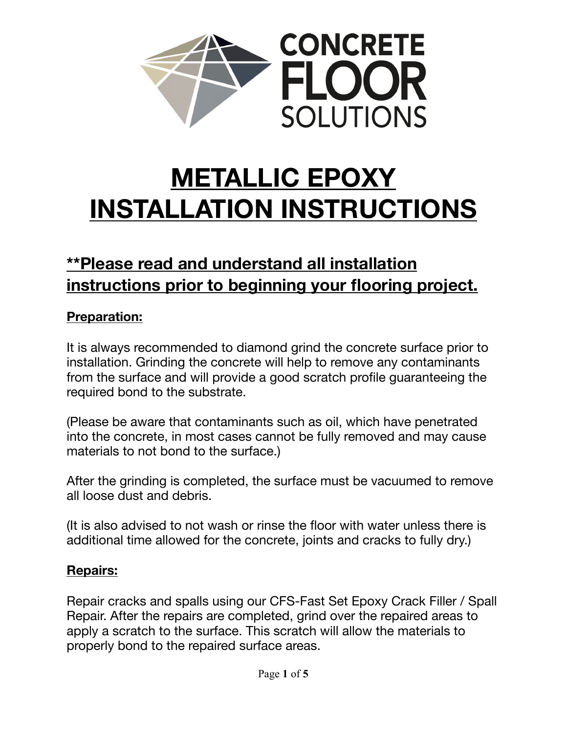

# **METALLIC EPOXY INSTALLATION INSTRUCTIONS**

# **\*\*Please read and understand all installation instructions prior to beginning your flooring project.**

### **Preparation:**

It is always recommended to diamond grind the concrete surface prior to installation. Grinding the concrete will help to remove any contaminants from the surface and will provide a good scratch profile guaranteeing the required bond to the substrate.

(Please be aware that contaminants such as oil, which have penetrated into the concrete, in most cases cannot be fully removed and may cause materials to not bond to the surface.)

After the grinding is completed, the surface must be vacuumed to remove all loose dust and debris.

(It is also advised to not wash or rinse the floor with water unless there is additional time allowed for the concrete, joints and cracks to fully dry.)

#### **Repairs:**

Repair cracks and spalls using our CFS-Fast Set Epoxy Crack Filler / Spall Repair. After the repairs are completed, grind over the repaired areas to apply a scratch to the surface. This scratch will allow the materials to properly bond to the repaired surface areas.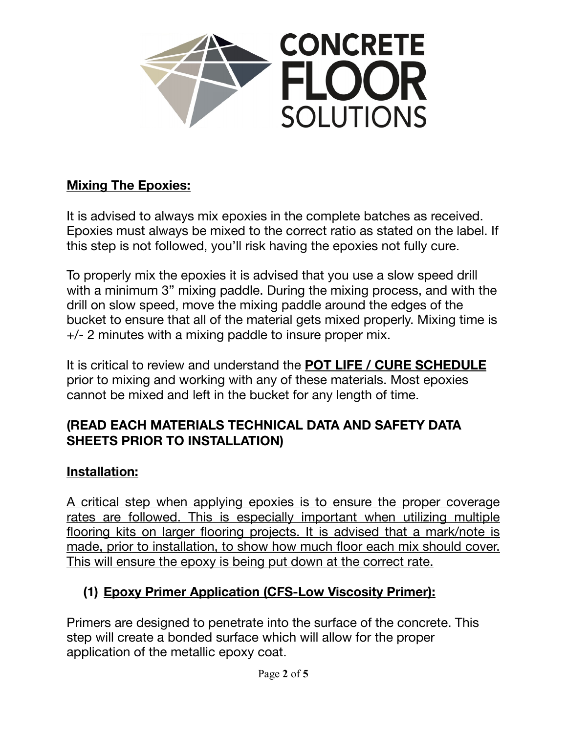

#### **Mixing The Epoxies:**

It is advised to always mix epoxies in the complete batches as received. Epoxies must always be mixed to the correct ratio as stated on the label. If this step is not followed, you'll risk having the epoxies not fully cure.

To properly mix the epoxies it is advised that you use a slow speed drill with a minimum 3" mixing paddle. During the mixing process, and with the drill on slow speed, move the mixing paddle around the edges of the bucket to ensure that all of the material gets mixed properly. Mixing time is +/- 2 minutes with a mixing paddle to insure proper mix.

It is critical to review and understand the **POT LIFE / CURE SCHEDULE** prior to mixing and working with any of these materials. Most epoxies cannot be mixed and left in the bucket for any length of time.

#### **(READ EACH MATERIALS TECHNICAL DATA AND SAFETY DATA SHEETS PRIOR TO INSTALLATION)**

#### **Installation:**

A critical step when applying epoxies is to ensure the proper coverage rates are followed. This is especially important when utilizing multiple flooring kits on larger flooring projects. It is advised that a mark/note is made, prior to installation, to show how much floor each mix should cover. This will ensure the epoxy is being put down at the correct rate.

# **(1) Epoxy Primer Application (CFS-Low Viscosity Primer):**

Primers are designed to penetrate into the surface of the concrete. This step will create a bonded surface which will allow for the proper application of the metallic epoxy coat.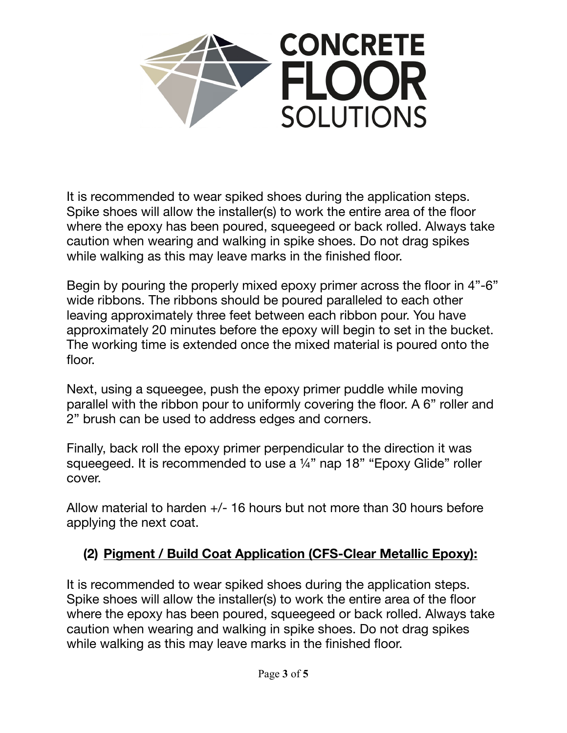

It is recommended to wear spiked shoes during the application steps. Spike shoes will allow the installer(s) to work the entire area of the floor where the epoxy has been poured, squeegeed or back rolled. Always take caution when wearing and walking in spike shoes. Do not drag spikes while walking as this may leave marks in the finished floor.

Begin by pouring the properly mixed epoxy primer across the floor in 4"-6" wide ribbons. The ribbons should be poured paralleled to each other leaving approximately three feet between each ribbon pour. You have approximately 20 minutes before the epoxy will begin to set in the bucket. The working time is extended once the mixed material is poured onto the floor.

Next, using a squeegee, push the epoxy primer puddle while moving parallel with the ribbon pour to uniformly covering the floor. A 6" roller and 2" brush can be used to address edges and corners.

Finally, back roll the epoxy primer perpendicular to the direction it was squeegeed. It is recommended to use a 1/4" nap 18" "Epoxy Glide" roller cover.

Allow material to harden +/- 16 hours but not more than 30 hours before applying the next coat.

# **(2) Pigment / Build Coat Application (CFS-Clear Metallic Epoxy):**

It is recommended to wear spiked shoes during the application steps. Spike shoes will allow the installer(s) to work the entire area of the floor where the epoxy has been poured, squeegeed or back rolled. Always take caution when wearing and walking in spike shoes. Do not drag spikes while walking as this may leave marks in the finished floor.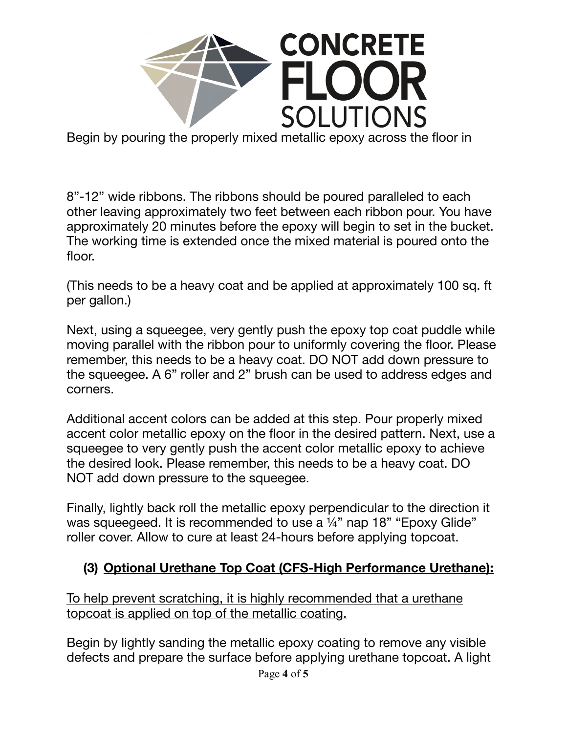

Begin by pouring the properly mixed metallic epoxy across the floor in

8"-12" wide ribbons. The ribbons should be poured paralleled to each other leaving approximately two feet between each ribbon pour. You have approximately 20 minutes before the epoxy will begin to set in the bucket. The working time is extended once the mixed material is poured onto the floor.

(This needs to be a heavy coat and be applied at approximately 100 sq. ft per gallon.)

Next, using a squeegee, very gently push the epoxy top coat puddle while moving parallel with the ribbon pour to uniformly covering the floor. Please remember, this needs to be a heavy coat. DO NOT add down pressure to the squeegee. A 6" roller and 2" brush can be used to address edges and corners.

Additional accent colors can be added at this step. Pour properly mixed accent color metallic epoxy on the floor in the desired pattern. Next, use a squeegee to very gently push the accent color metallic epoxy to achieve the desired look. Please remember, this needs to be a heavy coat. DO NOT add down pressure to the squeegee.

Finally, lightly back roll the metallic epoxy perpendicular to the direction it was squeeqeed. It is recommended to use a 1/4" nap 18" "Epoxy Glide" roller cover. Allow to cure at least 24-hours before applying topcoat.

#### **(3) Optional Urethane Top Coat (CFS-High Performance Urethane):**

To help prevent scratching, it is highly recommended that a urethane topcoat is applied on top of the metallic coating.

Begin by lightly sanding the metallic epoxy coating to remove any visible defects and prepare the surface before applying urethane topcoat. A light